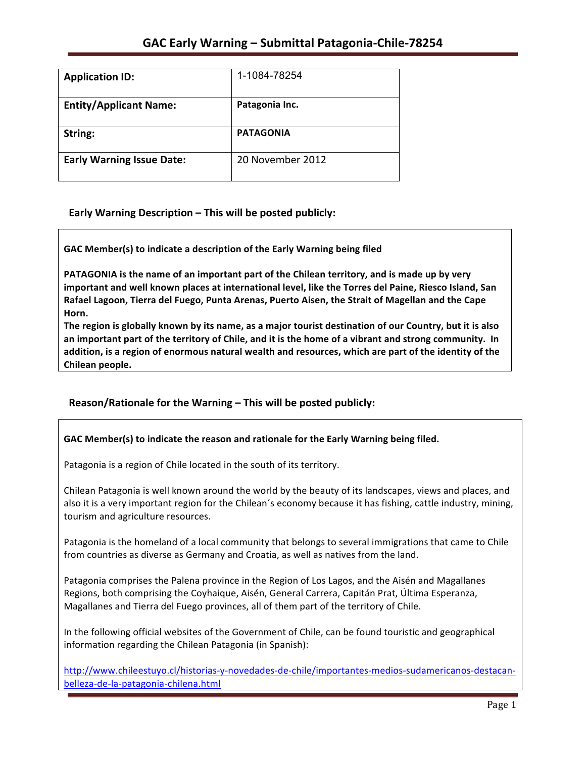| <b>Application ID:</b>           | 1-1084-78254     |
|----------------------------------|------------------|
| <b>Entity/Applicant Name:</b>    | Patagonia Inc.   |
| String:                          | <b>PATAGONIA</b> |
| <b>Early Warning Issue Date:</b> | 20 November 2012 |

**Early Warning Description – This will be posted publicly:** 

GAC Member(s) to indicate a description of the Early Warning being filed

**PATAGONIA** is the name of an important part of the Chilean territory, and is made up by very important and well known places at international level, like the Torres del Paine, Riesco Island, San Rafael Lagoon, Tierra del Fuego, Punta Arenas, Puerto Aisen, the Strait of Magellan and the Cape **Horn.** 

The region is globally known by its name, as a major tourist destination of our Country, but it is also an important part of the territory of Chile, and it is the home of a vibrant and strong community. In addition, is a region of enormous natural wealth and resources, which are part of the identity of the **Chilean people.**

# Reason/Rationale for the Warning – This will be posted publicly:

#### GAC Member(s) to indicate the reason and rationale for the Early Warning being filed.

Patagonia is a region of Chile located in the south of its territory.

Chilean Patagonia is well known around the world by the beauty of its landscapes, views and places, and also it is a very important region for the Chilean's economy because it has fishing, cattle industry, mining, tourism and agriculture resources.

Patagonia is the homeland of a local community that belongs to several immigrations that came to Chile from countries as diverse as Germany and Croatia, as well as natives from the land.

Patagonia comprises the Palena province in the Region of Los Lagos, and the Aisén and Magallanes Regions, both comprising the Coyhaique, Aisén, General Carrera, Capitán Prat, Última Esperanza, Magallanes and Tierra del Fuego provinces, all of them part of the territory of Chile.

In the following official websites of the Government of Chile, can be found touristic and geographical information regarding the Chilean Patagonia (in Spanish):

http://www.chileestuyo.cl/historias-y-novedades-de-chile/importantes-medios-sudamericanos-destacanbelleza-de-la-patagonia-chilena.html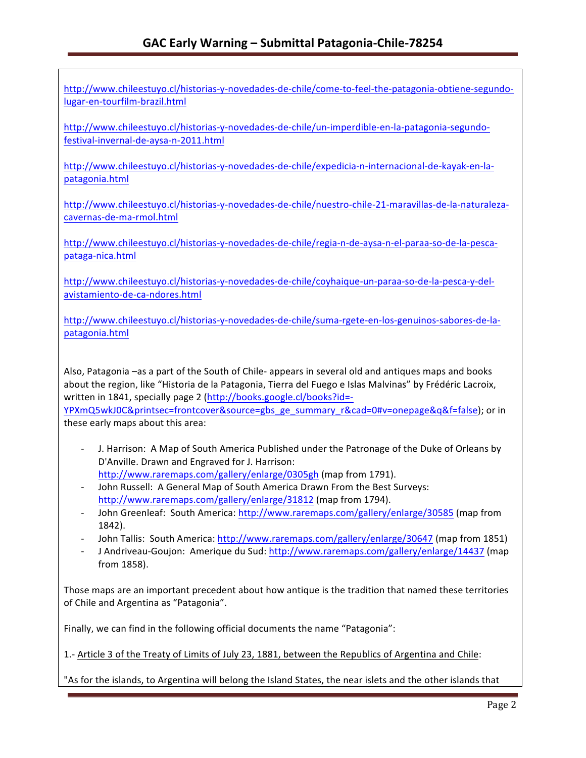http://www.chileestuyo.cl/historias-y-novedades-de-chile/come-to-feel-the-patagonia-obtiene-segundolugar-en-tourfilm-brazil.html

http://www.chileestuyo.cl/historias-y-novedades-de-chile/un-imperdible-en-la-patagonia-segundofestival-invernal-de-aysa-n-2011.html

http://www.chileestuyo.cl/historias-y-novedades-de-chile/expedicia-n-internacional-de-kayak-en-lapatagonia.html

http://www.chileestuyo.cl/historias-y-novedades-de-chile/nuestro-chile-21-maravillas-de-la-naturalezacavernas-de-ma-rmol.html

http://www.chileestuyo.cl/historias-y-novedades-de-chile/regia-n-de-aysa-n-el-paraa-so-de-la-pescapataga-nica.html

http://www.chileestuyo.cl/historias-y-novedades-de-chile/coyhaique-un-paraa-so-de-la-pesca-y-delavistamiento-de-ca-ndores.html

http://www.chileestuyo.cl/historias-y-novedades-de-chile/suma-rgete-en-los-genuinos-sabores-de-lapatagonia.html

Also, Patagonia –as a part of the South of Chile- appears in several old and antiques maps and books about the region, like "Historia de la Patagonia, Tierra del Fuego e Islas Malvinas" by Frédéric Lacroix, written in 1841, specially page 2 (http://books.google.cl/books?id=-

YPXmQ5wkJ0C&printsec=frontcover&source=gbs\_ge\_summary\_r&cad=0#v=onepage&q&f=false); or in these early maps about this area:

- J. Harrison: A Map of South America Published under the Patronage of the Duke of Orleans by D'Anville. Drawn and Engraved for J. Harrison: http://www.raremaps.com/gallery/enlarge/0305gh (map from 1791).
- John Russell: A General Map of South America Drawn From the Best Surveys: http://www.raremaps.com/gallery/enlarge/31812 (map from 1794).
- John Greenleaf: South America: http://www.raremaps.com/gallery/enlarge/30585 (map from 1842).
- John Tallis: South America: http://www.raremaps.com/gallery/enlarge/30647 (map from 1851)
- J Andriveau-Goujon: Amerique du Sud: http://www.raremaps.com/gallery/enlarge/14437 (map from 1858).

Those maps are an important precedent about how antique is the tradition that named these territories of Chile and Argentina as "Patagonia".

Finally, we can find in the following official documents the name "Patagonia":

1.- Article 3 of the Treaty of Limits of July 23, 1881, between the Republics of Argentina and Chile:

"As for the islands, to Argentina will belong the Island States, the near islets and the other islands that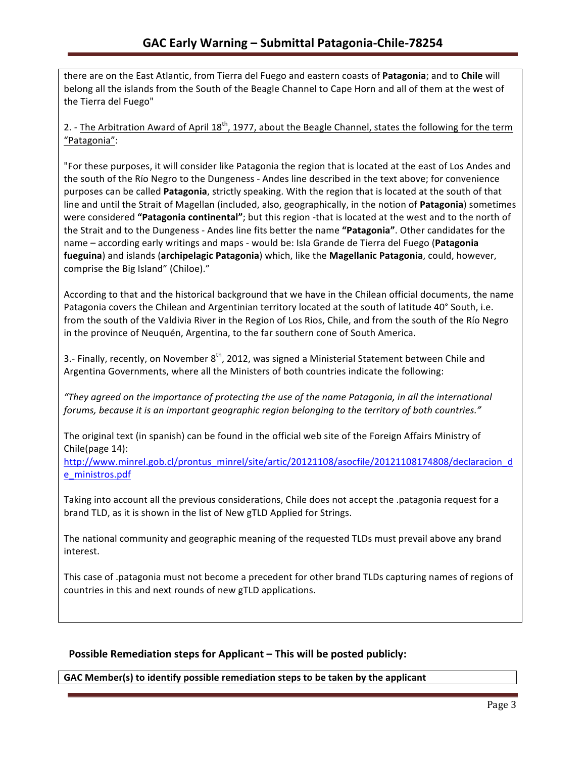there are on the East Atlantic, from Tierra del Fuego and eastern coasts of Patagonia; and to Chile will belong all the islands from the South of the Beagle Channel to Cape Horn and all of them at the west of the Tierra del Fuego"

2. - The Arbitration Award of April  $18^{th}$ , 1977, about the Beagle Channel, states the following for the term "Patagonia":

"For these purposes, it will consider like Patagonia the region that is located at the east of Los Andes and the south of the Río Negro to the Dungeness - Andes line described in the text above; for convenience purposes can be called **Patagonia**, strictly speaking. With the region that is located at the south of that line and until the Strait of Magellan (included, also, geographically, in the notion of Patagonia) sometimes were considered "Patagonia continental"; but this region -that is located at the west and to the north of the Strait and to the Dungeness - Andes line fits better the name "Patagonia". Other candidates for the name – according early writings and maps - would be: Isla Grande de Tierra del Fuego (Patagonia fueguina) and islands (archipelagic Patagonia) which, like the Magellanic Patagonia, could, however, comprise the Big Island" (Chiloe)."

According to that and the historical background that we have in the Chilean official documents, the name Patagonia covers the Chilean and Argentinian territory located at the south of latitude 40° South, i.e. from the south of the Valdivia River in the Region of Los Rios, Chile, and from the south of the Río Negro in the province of Neuguén, Argentina, to the far southern cone of South America.

3.- Finally, recently, on November  $8<sup>th</sup>$ , 2012, was signed a Ministerial Statement between Chile and Argentina Governments, where all the Ministers of both countries indicate the following:

*"They agreed on the importance of protecting the use of the name Patagonia, in all the international*  forums, because it is an important geographic region belonging to the territory of both countries."

The original text (in spanish) can be found in the official web site of the Foreign Affairs Ministry of Chile(page  $14$ ):

http://www.minrel.gob.cl/prontus\_minrel/site/artic/20121108/asocfile/20121108174808/declaracion\_d e\_ministros.pdf

Taking into account all the previous considerations, Chile does not accept the .patagonia request for a brand TLD, as it is shown in the list of New gTLD Applied for Strings.

The national community and geographic meaning of the requested TLDs must prevail above any brand interest.

This case of .patagonia must not become a precedent for other brand TLDs capturing names of regions of countries in this and next rounds of new gTLD applications.

### **Possible Remediation steps for Applicant – This will be posted publicly:**

GAC Member(s) to identify possible remediation steps to be taken by the applicant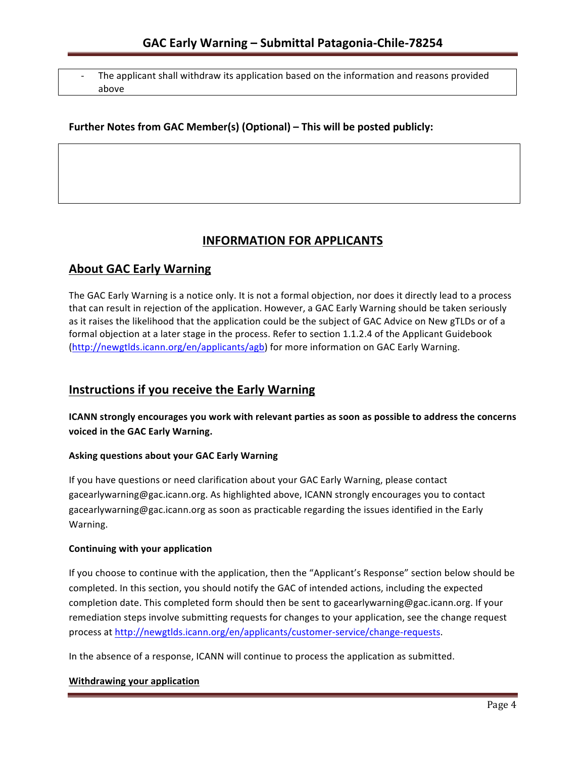The applicant shall withdraw its application based on the information and reasons provided above

### Further Notes from GAC Member(s) (Optional) – This will be posted publicly:

# **INFORMATION FOR APPLICANTS**

# **About GAC Early Warning**

The GAC Early Warning is a notice only. It is not a formal objection, nor does it directly lead to a process that can result in rejection of the application. However, a GAC Early Warning should be taken seriously as it raises the likelihood that the application could be the subject of GAC Advice on New gTLDs or of a formal objection at a later stage in the process. Refer to section 1.1.2.4 of the Applicant Guidebook (http://newgtlds.icann.org/en/applicants/agb) for more information on GAC Early Warning.

# **Instructions if you receive the Early Warning**

**ICANN** strongly encourages you work with relevant parties as soon as possible to address the concerns **voiced in the GAC Early Warning.** 

#### **Asking questions about your GAC Early Warning**

If you have questions or need clarification about your GAC Early Warning, please contact gacearlywarning@gac.icann.org. As highlighted above, ICANN strongly encourages you to contact gacearlywarning@gac.icann.org as soon as practicable regarding the issues identified in the Early Warning. 

#### **Continuing with your application**

If you choose to continue with the application, then the "Applicant's Response" section below should be completed. In this section, you should notify the GAC of intended actions, including the expected completion date. This completed form should then be sent to gacearlywarning@gac.icann.org. If your remediation steps involve submitting requests for changes to your application, see the change request process at http://newgtlds.icann.org/en/applicants/customer-service/change-requests.

In the absence of a response, ICANN will continue to process the application as submitted.

#### **Withdrawing your application**